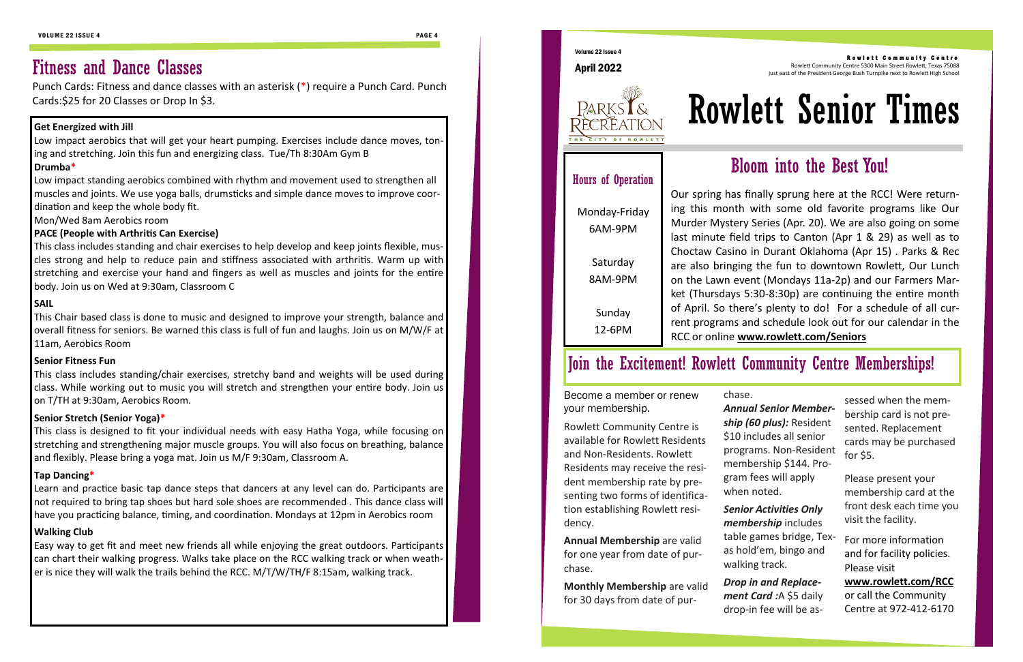# Fitness and Dance Classes

Punch Cards: Fitness and dance classes with an asterisk (\*) require a Punch Card. Punch Cards:\$25 for 20 Classes or Drop In \$3.

### **Get Energized with Jill**

Low impact aerobics that will get your heart pumping. Exercises include dance moves, toning and stretching. Join this fun and energizing class. Tue/Th 8:30Am Gym B **Drumba\***

Low impact standing aerobics combined with rhythm and movement used to strengthen all muscles and joints. We use yoga balls, drumsticks and simple dance moves to improve coordination and keep the whole body fit.

Mon/Wed 8am Aerobics room

#### **PACE (People with Arthritis Can Exercise)**

This class includes standing and chair exercises to help develop and keep joints flexible, muscles strong and help to reduce pain and stiffness associated with arthritis. Warm up with stretching and exercise your hand and fingers as well as muscles and joints for the entire body. Join us on Wed at 9:30am, Classroom C

#### **SAIL**

This Chair based class is done to music and designed to improve your strength, balance and overall fitness for seniors. Be warned this class is full of fun and laughs. Join us on M/W/F at 11am, Aerobics Room

#### **Senior Fitness Fun**

This class includes standing/chair exercises, stretchy band and weights will be used during class. While working out to music you will stretch and strengthen your entire body. Join us on T/TH at 9:30am, Aerobics Room.

#### **Senior Stretch (Senior Yoga)\***

This class is designed to fit your individual needs with easy Hatha Yoga, while focusing on stretching and strengthening major muscle groups. You will also focus on breathing, balance and flexibly. Please bring a yoga mat. Join us M/F 9:30am, Classroom A.

#### **Tap Dancing\***

Learn and practice basic tap dance steps that dancers at any level can do. Participants are not required to bring tap shoes but hard sole shoes are recommended . This dance class will have you practicing balance, timing, and coordination. Mondays at 12pm in Aerobics room

### **Walking Club**

Easy way to get fit and meet new friends all while enjoying the great outdoors. Participants can chart their walking progress. Walks take place on the RCC walking track or when weather is nice they will walk the trails behind the RCC. M/T/W/TH/F 8:15am, walking track.



Volume 22 Issue 4

April 2022

Rowlett Community Centre 5300 Main Street Rowlett, Texas 75088 just east of the President George Bush Turnpike next to Rowlett High School

# Rowlett Senior Times

Our spring has finally sprung here at the RCC! Were returning this month with some old favorite programs like Our Murder Mystery Series (Apr. 20). We are also going on some last minute field trips to Canton (Apr 1 & 29) as well as to Choctaw Casino in Durant Oklahoma (Apr 15) . Parks & Rec are also bringing the fun to downtown Rowlett, Our Lunch on the Lawn event (Mondays 11a-2p) and our Farmers Market (Thursdays 5:30-8:30p) are continuing the entire month of April. So there's plenty to do! For a schedule of all current programs and schedule look out for our calendar in the RCC or online **[www.rowlett.com/Seniors](http://www.rowlett.com/RCC)**

# Bloom into the Best You!

# Hours of Operation

Monday-Friday 6AM-9PM

> Saturday 8AM-9PM

Sunday 12-6PM

Become a member or renew your membership.

Rowlett Community Centre is available for Rowlett Residents and Non-Residents. Rowlett Residents may receive the resident membership rate by presenting two forms of identification establishing Rowlett residency.

**Annual Membership** are valid for one year from date of purchase.

**Monthly Membership** are valid for 30 days from date of purchase.

*Annual Senior Membership (60 plus):* Resident \$10 includes all senior programs. Non-Resident membership \$144. Program fees will apply when noted.

*Senior Activities Only membership* includes table games bridge, Texas hold'em, bingo and walking track.

*Drop in and Replacement Card :*A \$5 daily drop-in fee will be as-

#### Rowlett Community Centre

sessed when the membership card is not presented. Replacement cards may be purchased for \$5.

Please present your membership card at the front desk each time you visit the facility.

For more information and for facility policies. Please visit

**[www.rowlett.com/RCC](http://www.rowlett.com/RCC)** or call the Community Centre at 972-412-6170

# Join the Excitement! Rowlett Community Centre Memberships!